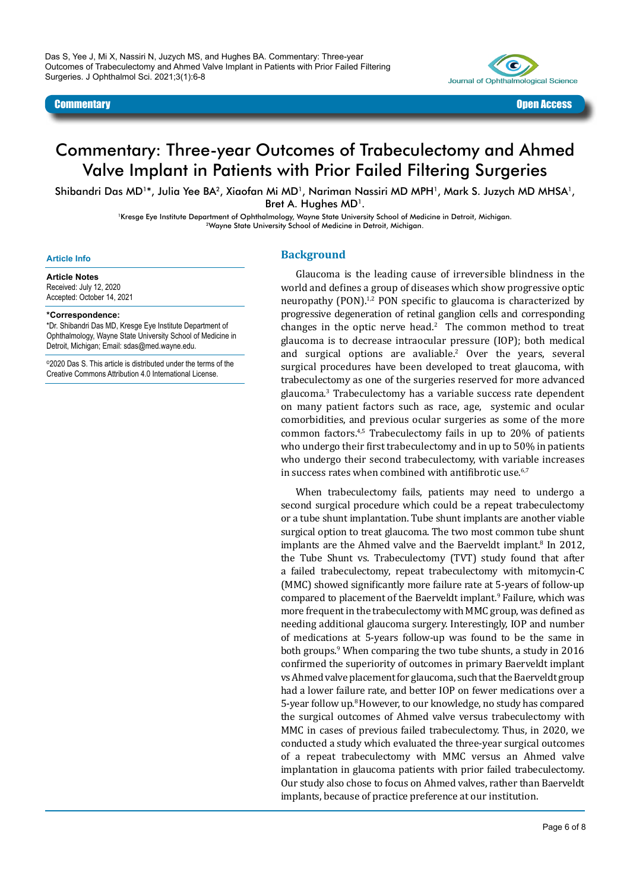Das S, Yee J, Mi X, Nassiri N, Juzych MS, and Hughes BA. Commentary: Three-year Outcomes of Trabeculectomy and Ahmed Valve Implant in Patients with Prior Failed Filtering Surgeries. J Ophthalmol Sci. 2021;3(1):6-8



# Commentary: Three-year Outcomes of Trabeculectomy and Ahmed Valve Implant in Patients with Prior Failed Filtering Surgeries

Shibandri Das MD<sup>1\*</sup>, Julia Yee BA<sup>2</sup>, Xiaofan Mi MD<sup>1</sup>, Nariman Nassiri MD MPH<sup>1</sup>, Mark S. Juzych MD MHSA<sup>1</sup>, Bret A. Hughes MD<sup>1</sup>.

> 1Kresge Eye Institute Department of Ophthalmology, Wayne State University School of Medicine in Detroit, Michigan. 2Wayne State University School of Medicine in Detroit, Michigan.

#### **Article Info**

**Article Notes** Received: July 12, 2020 Accepted: October 14, 2021

**\*Correspondence:**

\*Dr. Shibandri Das MD, Kresge Eye Institute Department of Ophthalmology, Wayne State University School of Medicine in

©2020 Das S. This article is distributed under the terms of the Creative Commons Attribution 4.0 International License.

Detroit, Michigan; Email: sdas@med.wayne.edu.

### **Background**

Glaucoma is the leading cause of irreversible blindness in the world and defines a group of diseases which show progressive optic neuropathy (PON).<sup>1,2</sup> PON specific to glaucoma is characterized by progressive degeneration of retinal ganglion cells and corresponding changes in the optic nerve head. $2$  The common method to treat glaucoma is to decrease intraocular pressure (IOP); both medical and surgical options are avaliable.<sup>2</sup> Over the years, several surgical procedures have been developed to treat glaucoma, with trabeculectomy as one of the surgeries reserved for more advanced glaucoma.<sup>3</sup> Trabeculectomy has a variable success rate dependent on many patient factors such as race, age, systemic and ocular comorbidities, and previous ocular surgeries as some of the more common factors.4,5 Trabeculectomy fails in up to 20% of patients who undergo their first trabeculectomy and in up to 50% in patients who undergo their second trabeculectomy, with variable increases in success rates when combined with antifibrotic use.<sup>6,7</sup>

When trabeculectomy fails, patients may need to undergo a second surgical procedure which could be a repeat trabeculectomy or a tube shunt implantation. Tube shunt implants are another viable surgical option to treat glaucoma. The two most common tube shunt implants are the Ahmed valve and the Baerveldt implant.<sup>8</sup> In 2012, the Tube Shunt vs. Trabeculectomy (TVT) study found that after a failed trabeculectomy, repeat trabeculectomy with mitomycin-C (MMC) showed significantly more failure rate at 5-years of follow-up compared to placement of the Baerveldt implant.<sup>9</sup> Failure, which was more frequent in the trabeculectomy with MMC group, was defined as needing additional glaucoma surgery. Interestingly, IOP and number of medications at 5-years follow-up was found to be the same in both groups.<sup>9</sup> When comparing the two tube shunts, a study in 2016 confirmed the superiority of outcomes in primary Baerveldt implant vs Ahmed valve placement for glaucoma, such that the Baerveldt group had a lower failure rate, and better IOP on fewer medications over a 5-year follow up.<sup>8</sup> However, to our knowledge, no study has compared the surgical outcomes of Ahmed valve versus trabeculectomy with MMC in cases of previous failed trabeculectomy. Thus, in 2020, we conducted a study which evaluated the three-year surgical outcomes of a repeat trabeculectomy with MMC versus an Ahmed valve implantation in glaucoma patients with prior failed trabeculectomy. Our study also chose to focus on Ahmed valves, rather than Baerveldt implants, because of practice preference at our institution.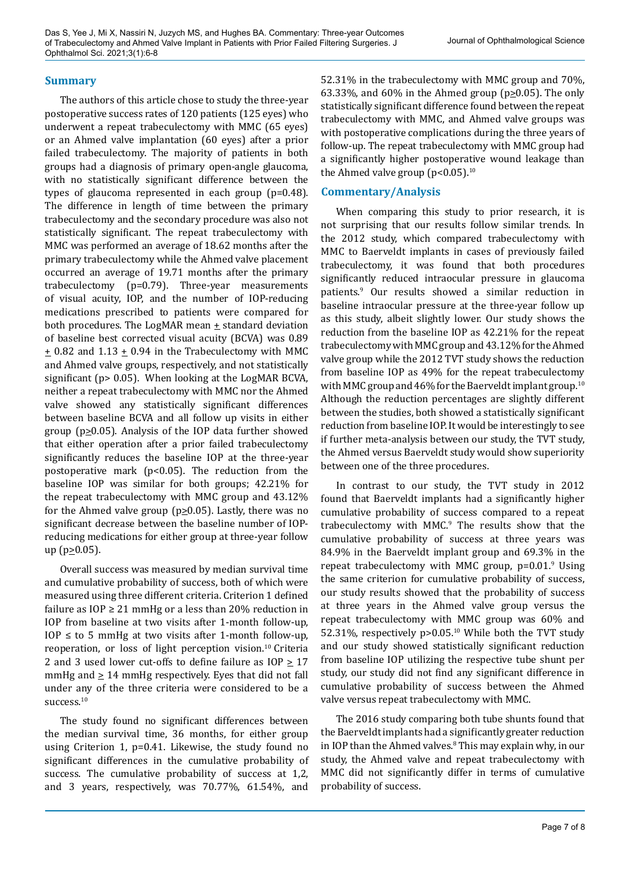### **Summary**

The authors of this article chose to study the three-year postoperative success rates of 120 patients (125 eyes) who underwent a repeat trabeculectomy with MMC (65 eyes) or an Ahmed valve implantation (60 eyes) after a prior failed trabeculectomy. The majority of patients in both groups had a diagnosis of primary open-angle glaucoma, with no statistically significant difference between the types of glaucoma represented in each group (p=0.48). The difference in length of time between the primary trabeculectomy and the secondary procedure was also not statistically significant. The repeat trabeculectomy with MMC was performed an average of 18.62 months after the primary trabeculectomy while the Ahmed valve placement occurred an average of 19.71 months after the primary trabeculectomy (p=0.79). Three-year measurements of visual acuity, IOP, and the number of IOP-reducing medications prescribed to patients were compared for both procedures. The LogMAR mean  $\pm$  standard deviation of baseline best corrected visual acuity (BCVA) was 0.89  $\pm$  0.82 and 1.13  $\pm$  0.94 in the Trabeculectomy with MMC and Ahmed valve groups, respectively, and not statistically significant (p> 0.05). When looking at the LogMAR BCVA, neither a repeat trabeculectomy with MMC nor the Ahmed valve showed any statistically significant differences between baseline BCVA and all follow up visits in either group ( $p \ge 0.05$ ). Analysis of the IOP data further showed that either operation after a prior failed trabeculectomy significantly reduces the baseline IOP at the three-year postoperative mark (p<0.05). The reduction from the baseline IOP was similar for both groups; 42.21% for the repeat trabeculectomy with MMC group and 43.12% for the Ahmed valve group ( $p \ge 0.05$ ). Lastly, there was no significant decrease between the baseline number of IOPreducing medications for either group at three-year follow  $up (p \ge 0.05)$ .

Overall success was measured by median survival time and cumulative probability of success, both of which were measured using three different criteria. Criterion 1 defined failure as  $IOP \geq 21$  mmHg or a less than 20% reduction in IOP from baseline at two visits after 1-month follow-up, IOP  $\leq$  to 5 mmHg at two visits after 1-month follow-up, reoperation, or loss of light perception vision.<sup>10</sup> Criteria 2 and 3 used lower cut-offs to define failure as  $IOP \geq 17$ mmHg and  $\geq 14$  mmHg respectively. Eyes that did not fall under any of the three criteria were considered to be a success.<sup>10</sup>

The study found no significant differences between the median survival time, 36 months, for either group using Criterion 1, p=0.41. Likewise, the study found no significant differences in the cumulative probability of success. The cumulative probability of success at 1,2, and 3 years, respectively, was 70.77%, 61.54%, and

52.31% in the trabeculectomy with MMC group and 70%, 63.33%, and 60% in the Ahmed group ( $p \ge 0.05$ ). The only statistically significant difference found between the repeat trabeculectomy with MMC, and Ahmed valve groups was with postoperative complications during the three years of follow-up. The repeat trabeculectomy with MMC group had a significantly higher postoperative wound leakage than the Ahmed valve group  $(p<0.05)$ <sup>10</sup>

## **Commentary/Analysis**

When comparing this study to prior research, it is not surprising that our results follow similar trends. In the 2012 study, which compared trabeculectomy with MMC to Baerveldt implants in cases of previously failed trabeculectomy, it was found that both procedures significantly reduced intraocular pressure in glaucoma patients.<sup>9</sup> Our results showed a similar reduction in baseline intraocular pressure at the three-year follow up as this study, albeit slightly lower. Our study shows the reduction from the baseline IOP as 42.21% for the repeat trabeculectomy with MMC group and 43.12% for the Ahmed valve group while the 2012 TVT study shows the reduction from baseline IOP as 49% for the repeat trabeculectomy with MMC group and 46% for the Baerveldt implant group.<sup>10</sup> Although the reduction percentages are slightly different between the studies, both showed a statistically significant reduction from baseline IOP. It would be interestingly to see if further meta-analysis between our study, the TVT study, the Ahmed versus Baerveldt study would show superiority between one of the three procedures.

In contrast to our study, the TVT study in 2012 found that Baerveldt implants had a significantly higher cumulative probability of success compared to a repeat trabeculectomy with MMC.<sup>9</sup> The results show that the cumulative probability of success at three years was 84.9% in the Baerveldt implant group and 69.3% in the repeat trabeculectomy with MMC group, p=0.01.<sup>9</sup> Using the same criterion for cumulative probability of success, our study results showed that the probability of success at three years in the Ahmed valve group versus the repeat trabeculectomy with MMC group was 60% and 52.31%, respectively p>0.05.10 While both the TVT study and our study showed statistically significant reduction from baseline IOP utilizing the respective tube shunt per study, our study did not find any significant difference in cumulative probability of success between the Ahmed valve versus repeat trabeculectomy with MMC.

The 2016 study comparing both tube shunts found that the Baerveldt implants had a significantly greater reduction in IOP than the Ahmed valves.<sup>8</sup> This may explain why, in our study, the Ahmed valve and repeat trabeculectomy with MMC did not significantly differ in terms of cumulative probability of success.